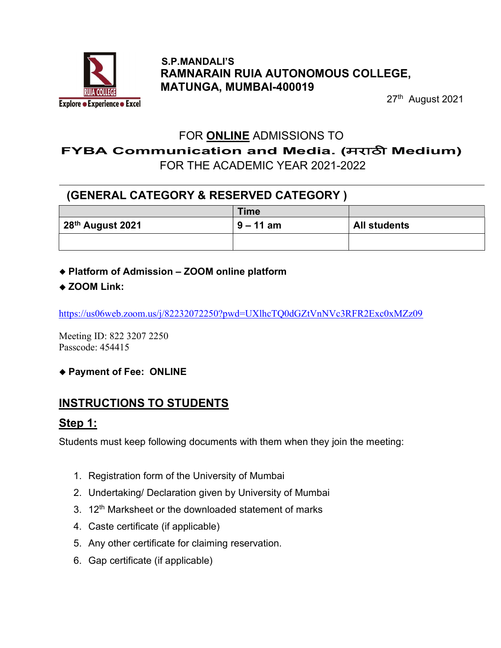

#### S.P.MANDALI'S RAMNARAIN RUIA AUTONOMOUS COLLEGE, MATUNGA, MUMBAI-400019

27th August 2021

#### FOR ONLINE ADMISSIONS TO

FYBA Communication and Media. (मराठी Medium)

FOR THE ACADEMIC YEAR 2021-2022

## (GENERAL CATEGORY & RESERVED CATEGORY )

|                              | <b>Time</b> |                     |
|------------------------------|-------------|---------------------|
| 28 <sup>th</sup> August 2021 | $9 - 11$ am | <b>All students</b> |
|                              |             |                     |

- Platform of Admission ZOOM online platform
- ◆ ZOOM Link:

https://us06web.zoom.us/j/82232072250?pwd=UXlhcTQ0dGZtVnNVc3RFR2Exc0xMZz09

Meeting ID: 822 3207 2250 Passcode: 454415

◆ Payment of Fee: ONLINE

# INSTRUCTIONS TO STUDENTS

#### Step 1:

Students must keep following documents with them when they join the meeting:

- 1. Registration form of the University of Mumbai
- 2. Undertaking/ Declaration given by University of Mumbai
- 3.  $12<sup>th</sup>$  Marksheet or the downloaded statement of marks
- 4. Caste certificate (if applicable)
- 5. Any other certificate for claiming reservation.
- 6. Gap certificate (if applicable)